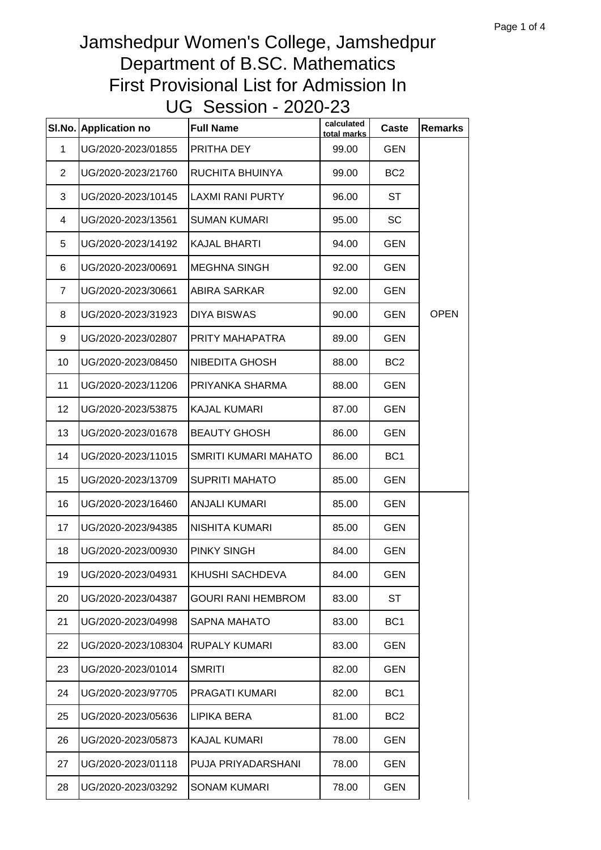| SI.No.         | <b>Application no</b> | <b>Full Name</b>          | calculated<br>total marks | Caste           | <b>Remarks</b> |
|----------------|-----------------------|---------------------------|---------------------------|-----------------|----------------|
| $\mathbf{1}$   | UG/2020-2023/01855    | PRITHA DEY                | 99.00                     | <b>GEN</b>      |                |
| $\overline{2}$ | UG/2020-2023/21760    | RUCHITA BHUINYA           | 99.00                     | BC <sub>2</sub> |                |
| 3              | UG/2020-2023/10145    | LAXMI RANI PURTY          | 96.00                     | ST              |                |
| 4              | UG/2020-2023/13561    | <b>SUMAN KUMARI</b>       | 95.00                     | <b>SC</b>       |                |
| 5              | UG/2020-2023/14192    | <b>KAJAL BHARTI</b>       | 94.00                     | <b>GEN</b>      |                |
| 6              | UG/2020-2023/00691    | <b>MEGHNA SINGH</b>       | 92.00                     | <b>GEN</b>      |                |
| $\overline{7}$ | UG/2020-2023/30661    | ABIRA SARKAR              | 92.00                     | <b>GEN</b>      |                |
| 8              | UG/2020-2023/31923    | <b>DIYA BISWAS</b>        | 90.00                     | <b>GEN</b>      | <b>OPEN</b>    |
| 9              | UG/2020-2023/02807    | PRITY MAHAPATRA           | 89.00                     | <b>GEN</b>      |                |
| 10             | UG/2020-2023/08450    | NIBEDITA GHOSH            | 88.00                     | BC <sub>2</sub> |                |
| 11             | UG/2020-2023/11206    | PRIYANKA SHARMA           | 88.00                     | <b>GEN</b>      |                |
| 12             | UG/2020-2023/53875    | <b>KAJAL KUMARI</b>       | 87.00                     | <b>GEN</b>      |                |
| 13             | UG/2020-2023/01678    | <b>BEAUTY GHOSH</b>       | 86.00                     | <b>GEN</b>      |                |
| 14             | UG/2020-2023/11015    | SMRITI KUMARI MAHATO      | 86.00                     | BC <sub>1</sub> |                |
| 15             | UG/2020-2023/13709    | <b>SUPRITI MAHATO</b>     | 85.00                     | <b>GEN</b>      |                |
| 16             | UG/2020-2023/16460    | <b>ANJALI KUMARI</b>      | 85.00                     | <b>GEN</b>      |                |
| 17             | UG/2020-2023/94385    | NISHITA KUMARI            | 85.00                     | <b>GEN</b>      |                |
| 18             | UG/2020-2023/00930    | <b>PINKY SINGH</b>        | 84.00                     | <b>GEN</b>      |                |
| 19             | UG/2020-2023/04931    | KHUSHI SACHDEVA           | 84.00                     | <b>GEN</b>      |                |
| 20             | UG/2020-2023/04387    | <b>GOURI RANI HEMBROM</b> | 83.00                     | <b>ST</b>       |                |
| 21             | UG/2020-2023/04998    | <b>SAPNA MAHATO</b>       | 83.00                     | BC <sub>1</sub> |                |
| 22             | UG/2020-2023/108304   | <b>RUPALY KUMARI</b>      | 83.00                     | <b>GEN</b>      |                |
| 23             | UG/2020-2023/01014    | <b>SMRITI</b>             | 82.00                     | <b>GEN</b>      |                |
| 24             | UG/2020-2023/97705    | PRAGATI KUMARI            | 82.00                     | BC <sub>1</sub> |                |
| 25             | UG/2020-2023/05636    | LIPIKA BERA               | 81.00                     | BC <sub>2</sub> |                |
| 26             | UG/2020-2023/05873    | <b>KAJAL KUMARI</b>       | 78.00                     | <b>GEN</b>      |                |
| 27             | UG/2020-2023/01118    | PUJA PRIYADARSHANI        | 78.00                     | <b>GEN</b>      |                |
| 28             | UG/2020-2023/03292    | <b>SONAM KUMARI</b>       | 78.00                     | <b>GEN</b>      |                |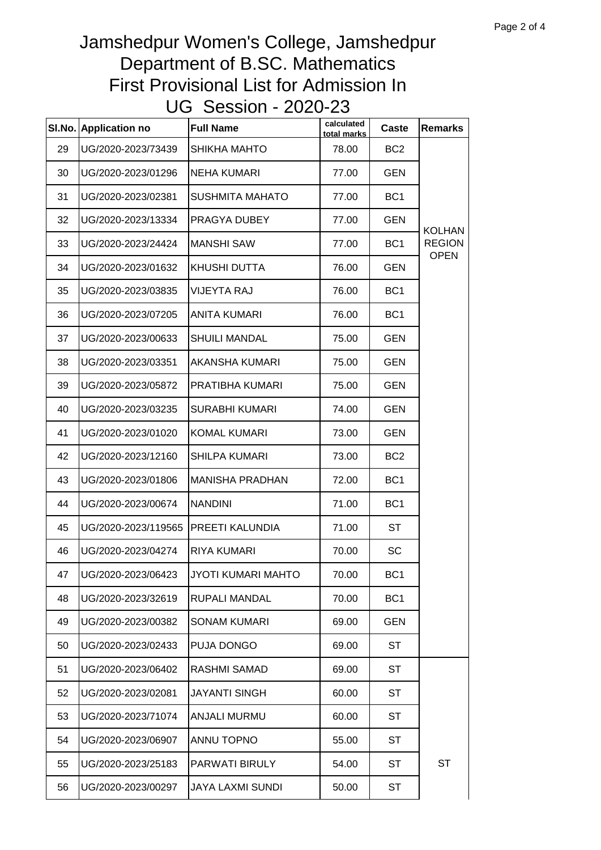| SI.No. | <b>Application no</b> | <b>Full Name</b>        | calculated<br>total marks | Caste           | <b>Remarks</b> |
|--------|-----------------------|-------------------------|---------------------------|-----------------|----------------|
| 29     | UG/2020-2023/73439    | SHIKHA MAHTO            | 78.00                     | BC <sub>2</sub> |                |
| 30     | UG/2020-2023/01296    | <b>NEHA KUMARI</b>      | 77.00                     | <b>GEN</b>      |                |
| 31     | UG/2020-2023/02381    | <b>SUSHMITA MAHATO</b>  | 77.00                     | BC <sub>1</sub> |                |
| 32     | UG/2020-2023/13334    | PRAGYA DUBEY            | 77.00                     | <b>GEN</b>      | <b>KOLHAN</b>  |
| 33     | UG/2020-2023/24424    | <b>MANSHI SAW</b>       | 77.00                     | BC <sub>1</sub> | <b>REGION</b>  |
| 34     | UG/2020-2023/01632    | KHUSHI DUTTA            | 76.00                     | <b>GEN</b>      | <b>OPEN</b>    |
| 35     | UG/2020-2023/03835    | <b>VIJEYTA RAJ</b>      | 76.00                     | BC <sub>1</sub> |                |
| 36     | UG/2020-2023/07205    | <b>ANITA KUMARI</b>     | 76.00                     | BC <sub>1</sub> |                |
| 37     | UG/2020-2023/00633    | <b>SHUILI MANDAL</b>    | 75.00                     | <b>GEN</b>      |                |
| 38     | UG/2020-2023/03351    | AKANSHA KUMARI          | 75.00                     | GEN             |                |
| 39     | UG/2020-2023/05872    | PRATIBHA KUMARI         | 75.00                     | GEN             |                |
| 40     | UG/2020-2023/03235    | <b>SURABHI KUMARI</b>   | 74.00                     | <b>GEN</b>      |                |
| 41     | UG/2020-2023/01020    | <b>KOMAL KUMARI</b>     | 73.00                     | GEN             |                |
| 42     | UG/2020-2023/12160    | <b>SHILPA KUMARI</b>    | 73.00                     | BC <sub>2</sub> |                |
| 43     | UG/2020-2023/01806    | <b>MANISHA PRADHAN</b>  | 72.00                     | BC <sub>1</sub> |                |
| 44     | UG/2020-2023/00674    | <b>NANDINI</b>          | 71.00                     | BC <sub>1</sub> |                |
| 45     | UG/2020-2023/119565   | PREETI KALUNDIA         | 71.00                     | <b>ST</b>       |                |
| 46     | UG/2020-2023/04274    | RIYA KUMARI             | 70.00                     | SC              |                |
| 47     | UG/2020-2023/06423    | JYOTI KUMARI MAHTO      | 70.00                     | BC <sub>1</sub> |                |
| 48     | UG/2020-2023/32619    | RUPALI MANDAL           | 70.00                     | BC <sub>1</sub> |                |
| 49     | UG/2020-2023/00382    | <b>SONAM KUMARI</b>     | 69.00                     | <b>GEN</b>      |                |
| 50     | UG/2020-2023/02433    | PUJA DONGO              | 69.00                     | <b>ST</b>       |                |
| 51     | UG/2020-2023/06402    | RASHMI SAMAD            | 69.00                     | <b>ST</b>       |                |
| 52     | UG/2020-2023/02081    | JAYANTI SINGH           | 60.00                     | <b>ST</b>       |                |
| 53     | UG/2020-2023/71074    | <b>ANJALI MURMU</b>     | 60.00                     | <b>ST</b>       |                |
| 54     | UG/2020-2023/06907    | ANNU TOPNO              | 55.00                     | <b>ST</b>       |                |
| 55     | UG/2020-2023/25183    | PARWATI BIRULY          | 54.00                     | <b>ST</b>       | <b>ST</b>      |
| 56     | UG/2020-2023/00297    | <b>JAYA LAXMI SUNDI</b> | 50.00                     | <b>ST</b>       |                |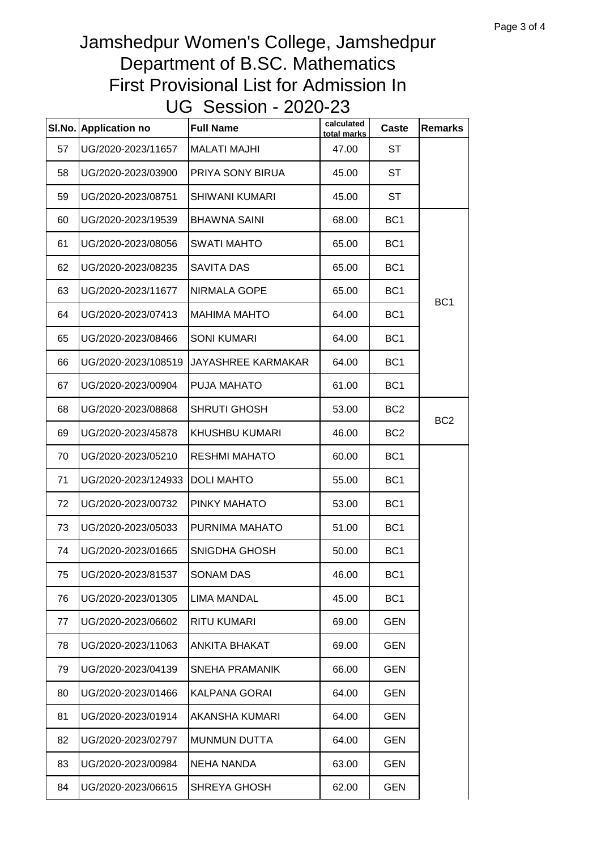| SI.No. | <b>Application no</b> | <b>Full Name</b>          | calculated<br>total marks | Caste           | <b>Remarks</b>  |
|--------|-----------------------|---------------------------|---------------------------|-----------------|-----------------|
| 57     | UG/2020-2023/11657    | <b>MALATI MAJHI</b>       | 47.00                     | <b>ST</b>       |                 |
| 58     | UG/2020-2023/03900    | PRIYA SONY BIRUA          | 45.00                     | <b>ST</b>       |                 |
| 59     | UG/2020-2023/08751    | <b>SHIWANI KUMARI</b>     | 45.00                     | ST              |                 |
| 60     | UG/2020-2023/19539    | <b>BHAWNA SAINI</b>       | 68.00                     | BC <sub>1</sub> |                 |
| 61     | UG/2020-2023/08056    | <b>SWATI MAHTO</b>        | 65.00                     | BC <sub>1</sub> |                 |
| 62     | UG/2020-2023/08235    | <b>SAVITA DAS</b>         | 65.00                     | BC <sub>1</sub> |                 |
| 63     | UG/2020-2023/11677    | NIRMALA GOPE              | 65.00                     | BC <sub>1</sub> |                 |
| 64     | UG/2020-2023/07413    | <b>MAHIMA MAHTO</b>       | 64.00                     | BC <sub>1</sub> | BC <sub>1</sub> |
| 65     | UG/2020-2023/08466    | <b>SONI KUMARI</b>        | 64.00                     | BC <sub>1</sub> |                 |
| 66     | UG/2020-2023/108519   | <b>JAYASHREE KARMAKAR</b> | 64.00                     | BC <sub>1</sub> |                 |
| 67     | UG/2020-2023/00904    | PUJA MAHATO               | 61.00                     | BC <sub>1</sub> |                 |
| 68     | UG/2020-2023/08868    | <b>SHRUTI GHOSH</b>       | 53.00                     | BC <sub>2</sub> |                 |
| 69     | UG/2020-2023/45878    | <b>KHUSHBU KUMARI</b>     | 46.00                     | BC <sub>2</sub> | BC <sub>2</sub> |
| 70     | UG/2020-2023/05210    | <b>RESHMI MAHATO</b>      | 60.00                     | BC <sub>1</sub> |                 |
| 71     | UG/2020-2023/124933   | <b>DOLI MAHTO</b>         | 55.00                     | BC <sub>1</sub> |                 |
| 72     | UG/2020-2023/00732    | PINKY MAHATO              | 53.00                     | BC <sub>1</sub> |                 |
| 73     | UG/2020-2023/05033    | PURNIMA MAHATO            | 51.00                     | BC <sub>1</sub> |                 |
| 74     | UG/2020-2023/01665    | SNIGDHA GHOSH             | 50.00                     | BC <sub>1</sub> |                 |
| 75     | UG/2020-2023/81537    | <b>SONAM DAS</b>          | 46.00                     | BC <sub>1</sub> |                 |
| 76     | UG/2020-2023/01305    | <b>LIMA MANDAL</b>        | 45.00                     | BC <sub>1</sub> |                 |
| 77     | UG/2020-2023/06602    | <b>RITU KUMARI</b>        | 69.00                     | <b>GEN</b>      |                 |
| 78     | UG/2020-2023/11063    | ANKITA BHAKAT             | 69.00                     | <b>GEN</b>      |                 |
| 79     | UG/2020-2023/04139    | SNEHA PRAMANIK            | 66.00                     | <b>GEN</b>      |                 |
| 80     | UG/2020-2023/01466    | KALPANA GORAI             | 64.00                     | <b>GEN</b>      |                 |
| 81     | UG/2020-2023/01914    | AKANSHA KUMARI            | 64.00                     | <b>GEN</b>      |                 |
| 82     | UG/2020-2023/02797    | <b>MUNMUN DUTTA</b>       | 64.00                     | <b>GEN</b>      |                 |
| 83     | UG/2020-2023/00984    | <b>NEHA NANDA</b>         | 63.00                     | <b>GEN</b>      |                 |
| 84     | UG/2020-2023/06615    | SHREYA GHOSH              | 62.00                     | <b>GEN</b>      |                 |